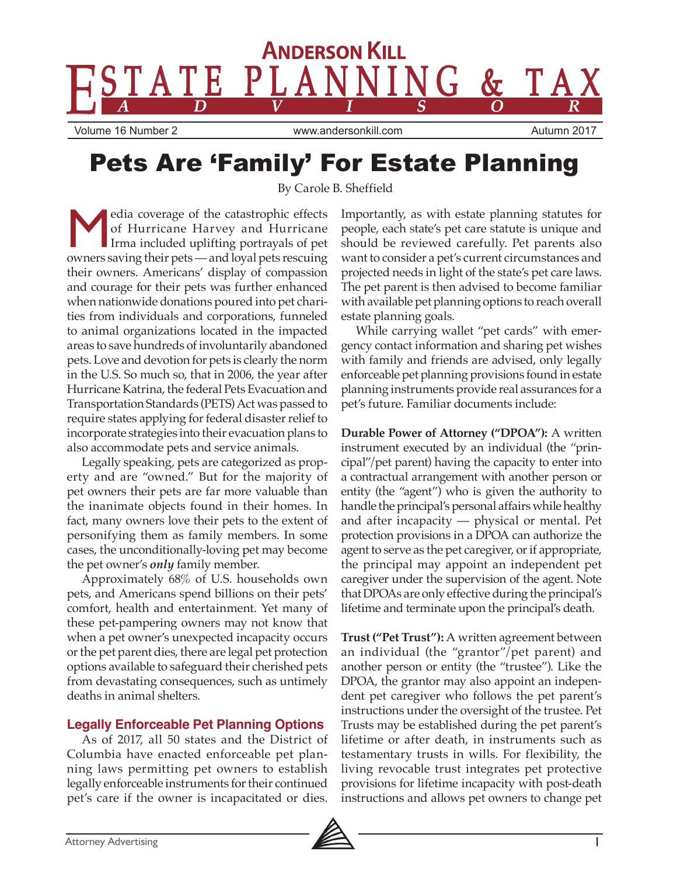

# Pets Are 'Family' For Estate Planning

By Carole B. Sheffield

edia coverage of the catastrophic effects of Hurricane Harvey and Hurricane Irma included uplifting portrayals of pet owners saving their pets — and loyal pets rescuing their owners. Americans' display of compassion and courage for their pets was further enhanced when nationwide donations poured into pet charities from individuals and corporations, funneled to animal organizations located in the impacted areas to save hundreds of involuntarily abandoned pets. Love and devotion for pets is clearly the norm in the U.S. So much so, that in 2006, the year after Hurricane Katrina, the federal Pets Evacuation and Transportation Standards (PETS) Act was passed to require states applying for federal disaster relief to incorporate strategies into their evacuation plans to also accommodate pets and service animals.

Legally speaking, pets are categorized as property and are "owned." But for the majority of pet owners their pets are far more valuable than the inanimate objects found in their homes. In fact, many owners love their pets to the extent of personifying them as family members. In some cases, the unconditionally-loving pet may become the pet owner's *only* family member.

Approximately 68% of U.S. households own pets, and Americans spend billions on their pets' comfort, health and entertainment. Yet many of these pet-pampering owners may not know that when a pet owner's unexpected incapacity occurs or the pet parent dies, there are legal pet protection options available to safeguard their cherished pets from devastating consequences, such as untimely deaths in animal shelters.

# **Legally Enforceable Pet Planning Options**

As of 2017, all 50 states and the District of Columbia have enacted enforceable pet planning laws permitting pet owners to establish legally enforceable instruments for their continued pet's care if the owner is incapacitated or dies.

Importantly, as with estate planning statutes for people, each state's pet care statute is unique and should be reviewed carefully. Pet parents also want to consider a pet's current circumstances and projected needs in light of the state's pet care laws. The pet parent is then advised to become familiar with available pet planning options to reach overall estate planning goals.

While carrying wallet "pet cards" with emergency contact information and sharing pet wishes with family and friends are advised, only legally enforceable pet planning provisions found in estate planning instruments provide real assurances for a pet's future. Familiar documents include:

**Durable Power of Attorney ("DPOA"):** A written instrument executed by an individual (the "principal"/pet parent) having the capacity to enter into a contractual arrangement with another person or entity (the "agent") who is given the authority to handle the principal's personal affairs while healthy and after incapacity — physical or mental. Pet protection provisions in a DPOA can authorize the agent to serve as the pet caregiver, or if appropriate, the principal may appoint an independent pet caregiver under the supervision of the agent. Note that DPOAs are only effective during the principal's lifetime and terminate upon the principal's death.

**Trust ("Pet Trust"):** A written agreement between an individual (the "grantor"/pet parent) and another person or entity (the "trustee"). Like the DPOA, the grantor may also appoint an independent pet caregiver who follows the pet parent's instructions under the oversight of the trustee. Pet Trusts may be established during the pet parent's lifetime or after death, in instruments such as testamentary trusts in wills. For flexibility, the living revocable trust integrates pet protective provisions for lifetime incapacity with post-death instructions and allows pet owners to change pet